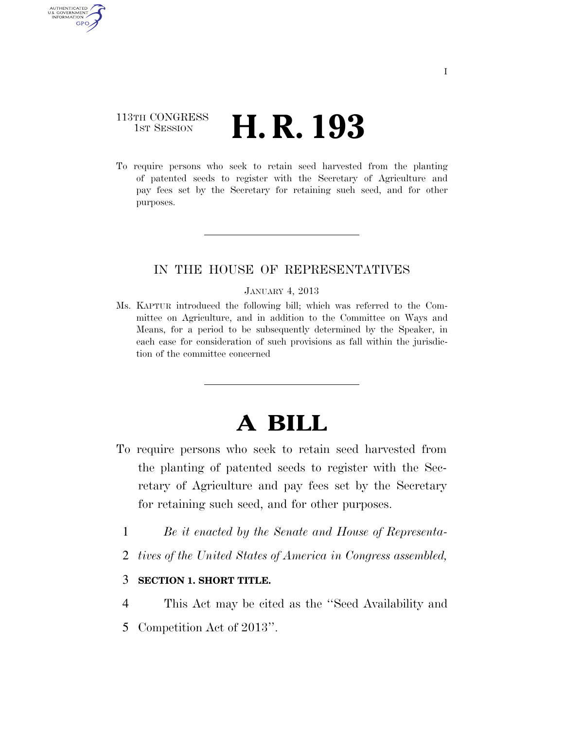## 113TH CONGRESS <sup>TH CONGRESS</sup> **H. R. 193**

AUTHENTICATED U.S. GOVERNMENT **GPO** 

> To require persons who seek to retain seed harvested from the planting of patented seeds to register with the Secretary of Agriculture and pay fees set by the Secretary for retaining such seed, and for other purposes.

### IN THE HOUSE OF REPRESENTATIVES

#### JANUARY 4, 2013

Ms. KAPTUR introduced the following bill; which was referred to the Committee on Agriculture, and in addition to the Committee on Ways and Means, for a period to be subsequently determined by the Speaker, in each case for consideration of such provisions as fall within the jurisdiction of the committee concerned

# **A BILL**

- To require persons who seek to retain seed harvested from the planting of patented seeds to register with the Secretary of Agriculture and pay fees set by the Secretary for retaining such seed, and for other purposes.
	- 1 *Be it enacted by the Senate and House of Representa-*
	- 2 *tives of the United States of America in Congress assembled,*

### 3 **SECTION 1. SHORT TITLE.**

- 4 This Act may be cited as the ''Seed Availability and
- 5 Competition Act of 2013''.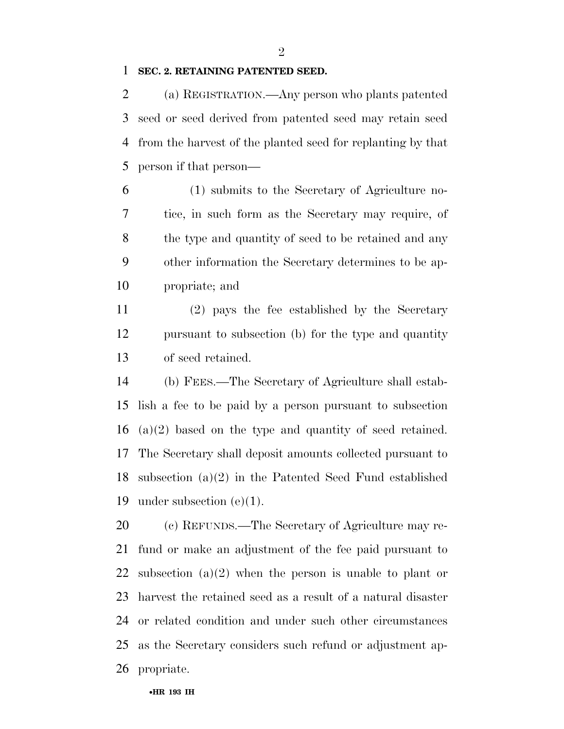$\mathfrak{D}$ 

### **SEC. 2. RETAINING PATENTED SEED.**

 (a) REGISTRATION.—Any person who plants patented seed or seed derived from patented seed may retain seed from the harvest of the planted seed for replanting by that person if that person—

 (1) submits to the Secretary of Agriculture no- tice, in such form as the Secretary may require, of the type and quantity of seed to be retained and any other information the Secretary determines to be ap-propriate; and

 (2) pays the fee established by the Secretary pursuant to subsection (b) for the type and quantity of seed retained.

 (b) FEES.—The Secretary of Agriculture shall estab- lish a fee to be paid by a person pursuant to subsection (a)(2) based on the type and quantity of seed retained. The Secretary shall deposit amounts collected pursuant to subsection (a)(2) in the Patented Seed Fund established under subsection (e)(1).

 (c) REFUNDS.—The Secretary of Agriculture may re- fund or make an adjustment of the fee paid pursuant to subsection (a)(2) when the person is unable to plant or harvest the retained seed as a result of a natural disaster or related condition and under such other circumstances as the Secretary considers such refund or adjustment ap-propriate.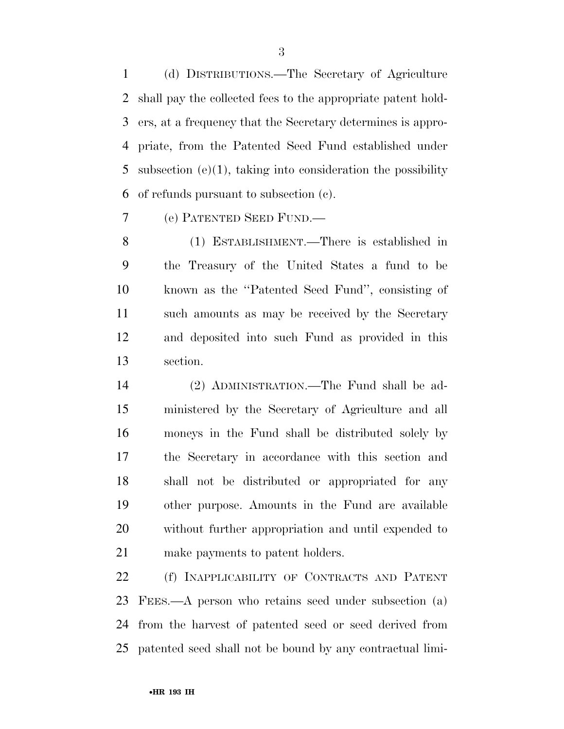(d) DISTRIBUTIONS.—The Secretary of Agriculture shall pay the collected fees to the appropriate patent hold- ers, at a frequency that the Secretary determines is appro- priate, from the Patented Seed Fund established under subsection (e)(1), taking into consideration the possibility of refunds pursuant to subsection (c).

(e) PATENTED SEED FUND.—

 (1) ESTABLISHMENT.—There is established in the Treasury of the United States a fund to be known as the ''Patented Seed Fund'', consisting of such amounts as may be received by the Secretary and deposited into such Fund as provided in this section.

 (2) ADMINISTRATION.—The Fund shall be ad- ministered by the Secretary of Agriculture and all moneys in the Fund shall be distributed solely by the Secretary in accordance with this section and shall not be distributed or appropriated for any other purpose. Amounts in the Fund are available without further appropriation and until expended to make payments to patent holders.

 (f) INAPPLICABILITY OF CONTRACTS AND PATENT FEES.—A person who retains seed under subsection (a) from the harvest of patented seed or seed derived from patented seed shall not be bound by any contractual limi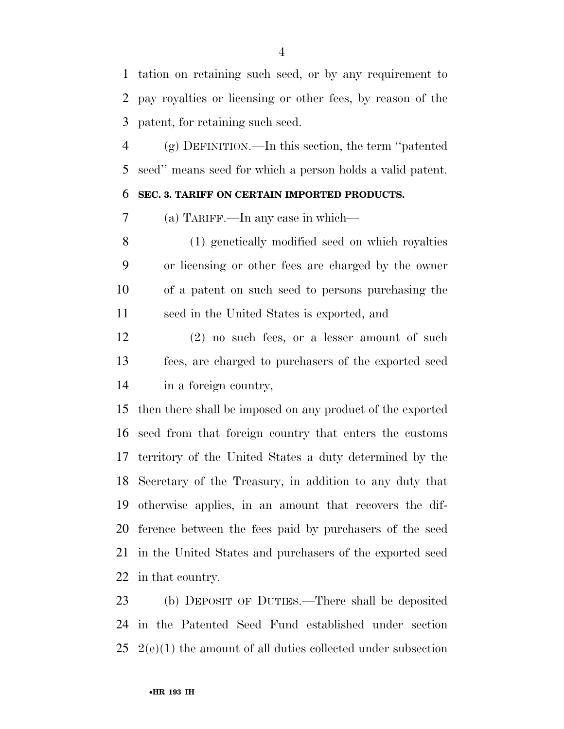tation on retaining such seed, or by any requirement to pay royalties or licensing or other fees, by reason of the patent, for retaining such seed.

 (g) DEFINITION.—In this section, the term ''patented seed'' means seed for which a person holds a valid patent.

### **SEC. 3. TARIFF ON CERTAIN IMPORTED PRODUCTS.**

(a) TARIFF.—In any case in which—

 (1) genetically modified seed on which royalties or licensing or other fees are charged by the owner of a patent on such seed to persons purchasing the seed in the United States is exported, and

 (2) no such fees, or a lesser amount of such fees, are charged to purchasers of the exported seed in a foreign country,

 then there shall be imposed on any product of the exported seed from that foreign country that enters the customs territory of the United States a duty determined by the Secretary of the Treasury, in addition to any duty that otherwise applies, in an amount that recovers the dif- ference between the fees paid by purchasers of the seed in the United States and purchasers of the exported seed in that country.

 (b) DEPOSIT OF DUTIES.—There shall be deposited in the Patented Seed Fund established under section  $25 \text{ } 2(e)(1)$  the amount of all duties collected under subsection